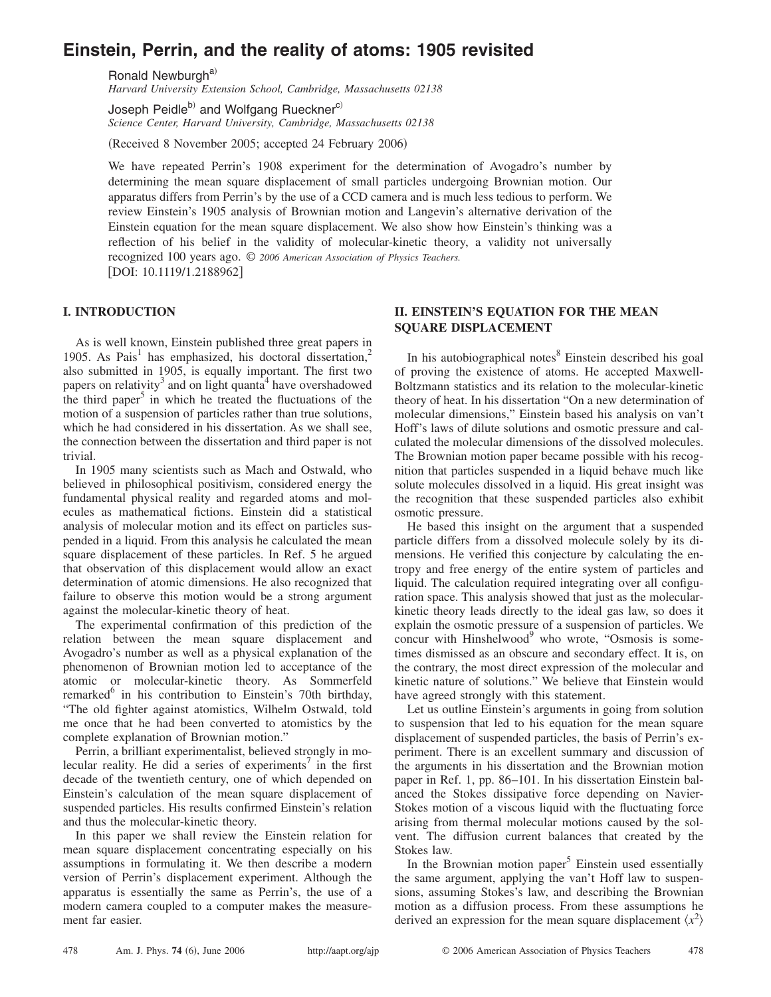# **Einstein, Perrin, and the reality of atoms: 1905 revisited**

Ronald Newburgh<sup>a)</sup>

*Harvard University Extension School, Cambridge, Massachusetts 02138*

Joseph Peidle<sup>b)</sup> and Wolfgang Rueckner<sup>c)</sup> *Science Center, Harvard University, Cambridge, Massachusetts 02138*

(Received 8 November 2005; accepted 24 February 2006)

We have repeated Perrin's 1908 experiment for the determination of Avogadro's number by determining the mean square displacement of small particles undergoing Brownian motion. Our apparatus differs from Perrin's by the use of a CCD camera and is much less tedious to perform. We review Einstein's 1905 analysis of Brownian motion and Langevin's alternative derivation of the Einstein equation for the mean square displacement. We also show how Einstein's thinking was a reflection of his belief in the validity of molecular-kinetic theory, a validity not universally recognized 100 years ago. © *2006 American Association of Physics Teachers.* [DOI: 10.1119/1.2188962]

## **I. INTRODUCTION**

As is well known, Einstein published three great papers in 1905. As Pais<sup>1</sup> has emphasized, his doctoral dissertation,<sup>2</sup> also submitted in 1905, is equally important. The first two papers on relativity<sup>3</sup> and on light quanta<sup>4</sup> have overshadowed the third paper<sup>5</sup> in which he treated the fluctuations of the motion of a suspension of particles rather than true solutions, which he had considered in his dissertation. As we shall see, the connection between the dissertation and third paper is not trivial.

In 1905 many scientists such as Mach and Ostwald, who believed in philosophical positivism, considered energy the fundamental physical reality and regarded atoms and molecules as mathematical fictions. Einstein did a statistical analysis of molecular motion and its effect on particles suspended in a liquid. From this analysis he calculated the mean square displacement of these particles. In Ref. 5 he argued that observation of this displacement would allow an exact determination of atomic dimensions. He also recognized that failure to observe this motion would be a strong argument against the molecular-kinetic theory of heat.

The experimental confirmation of this prediction of the relation between the mean square displacement and Avogadro's number as well as a physical explanation of the phenomenon of Brownian motion led to acceptance of the atomic or molecular-kinetic theory. As Sommerfeld remarked $^6$  in his contribution to Einstein's 70th birthday, "The old fighter against atomistics, Wilhelm Ostwald, told me once that he had been converted to atomistics by the complete explanation of Brownian motion."

Perrin, a brilliant experimentalist, believed strongly in molecular reality. He did a series of experiments<sup> $\prime$ </sup> in the first decade of the twentieth century, one of which depended on Einstein's calculation of the mean square displacement of suspended particles. His results confirmed Einstein's relation and thus the molecular-kinetic theory.

In this paper we shall review the Einstein relation for mean square displacement concentrating especially on his assumptions in formulating it. We then describe a modern version of Perrin's displacement experiment. Although the apparatus is essentially the same as Perrin's, the use of a modern camera coupled to a computer makes the measurement far easier.

## **II. EINSTEIN'S EQUATION FOR THE MEAN SQUARE DISPLACEMENT**

In his autobiographical notes $8$  Einstein described his goal of proving the existence of atoms. He accepted Maxwell-Boltzmann statistics and its relation to the molecular-kinetic theory of heat. In his dissertation "On a new determination of molecular dimensions," Einstein based his analysis on van't Hoff's laws of dilute solutions and osmotic pressure and calculated the molecular dimensions of the dissolved molecules. The Brownian motion paper became possible with his recognition that particles suspended in a liquid behave much like solute molecules dissolved in a liquid. His great insight was the recognition that these suspended particles also exhibit osmotic pressure.

He based this insight on the argument that a suspended particle differs from a dissolved molecule solely by its dimensions. He verified this conjecture by calculating the entropy and free energy of the entire system of particles and liquid. The calculation required integrating over all configuration space. This analysis showed that just as the molecularkinetic theory leads directly to the ideal gas law, so does it explain the osmotic pressure of a suspension of particles. We concur with Hinshelwood $9$  who wrote, "Osmosis is sometimes dismissed as an obscure and secondary effect. It is, on the contrary, the most direct expression of the molecular and kinetic nature of solutions." We believe that Einstein would have agreed strongly with this statement.

Let us outline Einstein's arguments in going from solution to suspension that led to his equation for the mean square displacement of suspended particles, the basis of Perrin's experiment. There is an excellent summary and discussion of the arguments in his dissertation and the Brownian motion paper in Ref. 1, pp. 86–101. In his dissertation Einstein balanced the Stokes dissipative force depending on Navier-Stokes motion of a viscous liquid with the fluctuating force arising from thermal molecular motions caused by the solvent. The diffusion current balances that created by the Stokes law.

In the Brownian motion paper<sup>5</sup> Einstein used essentially the same argument, applying the van't Hoff law to suspensions, assuming Stokes's law, and describing the Brownian motion as a diffusion process. From these assumptions he derived an expression for the mean square displacement  $\langle x^2 \rangle$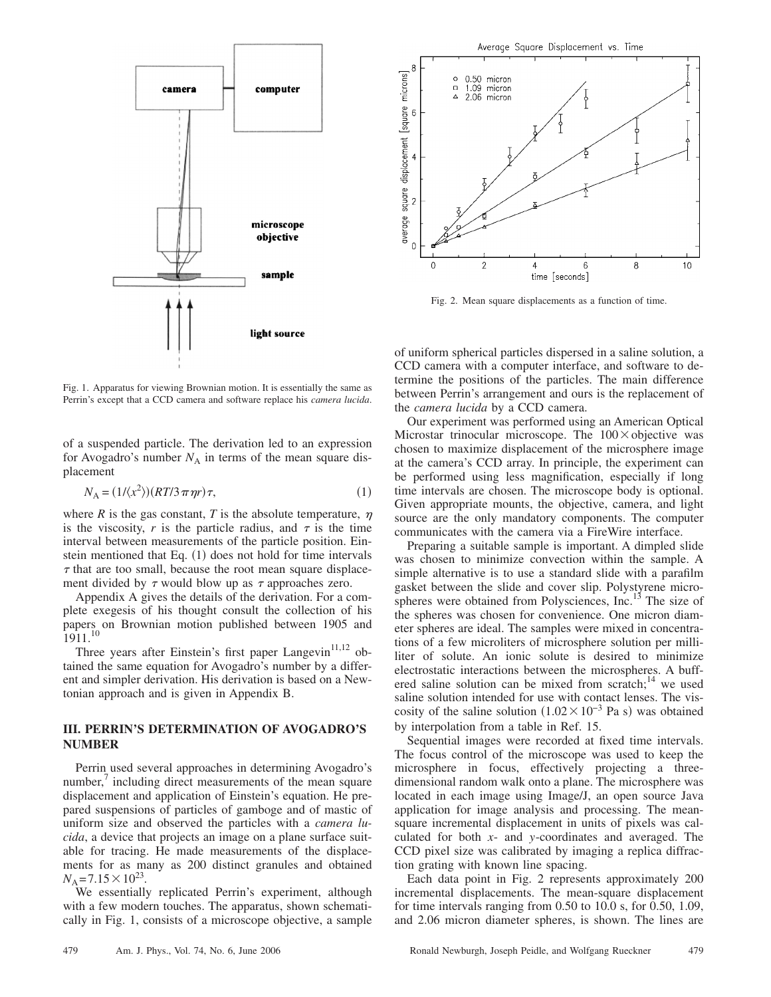

Fig. 1. Apparatus for viewing Brownian motion. It is essentially the same as Perrin's except that a CCD camera and software replace his *camera lucida*.

of a suspended particle. The derivation led to an expression for Avogadro's number  $N_A$  in terms of the mean square displacement

$$
N_{\rm A} = (1/\langle x^2 \rangle)(RT/3 \pi \eta r)\tau,\tag{1}
$$

where  $R$  is the gas constant,  $T$  is the absolute temperature,  $\eta$ is the viscosity,  $r$  is the particle radius, and  $\tau$  is the time interval between measurements of the particle position. Einstein mentioned that Eq. (1) does not hold for time intervals  $\tau$  that are too small, because the root mean square displacement divided by  $\tau$  would blow up as  $\tau$  approaches zero.

Appendix A gives the details of the derivation. For a complete exegesis of his thought consult the collection of his papers on Brownian motion published between 1905 and 1911.<sup>10</sup>

Three years after Einstein's first paper Langevin<sup>11,12</sup> obtained the same equation for Avogadro's number by a different and simpler derivation. His derivation is based on a Newtonian approach and is given in Appendix B.

## **III. PERRIN'S DETERMINATION OF AVOGADRO'S NUMBER**

Perrin used several approaches in determining Avogadro's  $number<sub>i</sub>$  including direct measurements of the mean square displacement and application of Einstein's equation. He prepared suspensions of particles of gamboge and of mastic of uniform size and observed the particles with a *camera lucida*, a device that projects an image on a plane surface suitable for tracing. He made measurements of the displacements for as many as 200 distinct granules and obtained  $N_A = 7.15 \times 10^{23}$ .

We essentially replicated Perrin's experiment, although with a few modern touches. The apparatus, shown schematically in Fig. 1, consists of a microscope objective, a sample

Average Square Displacement vs. Time



Fig. 2. Mean square displacements as a function of time.

of uniform spherical particles dispersed in a saline solution, a CCD camera with a computer interface, and software to determine the positions of the particles. The main difference between Perrin's arrangement and ours is the replacement of the *camera lucida* by a CCD camera.

Our experiment was performed using an American Optical Microstar trinocular microscope. The  $100 \times$  objective was chosen to maximize displacement of the microsphere image at the camera's CCD array. In principle, the experiment can be performed using less magnification, especially if long time intervals are chosen. The microscope body is optional. Given appropriate mounts, the objective, camera, and light source are the only mandatory components. The computer communicates with the camera via a FireWire interface.

Preparing a suitable sample is important. A dimpled slide was chosen to minimize convection within the sample. A simple alternative is to use a standard slide with a parafilm gasket between the slide and cover slip. Polystyrene microspheres were obtained from Polysciences, Inc.<sup>13</sup> The size of the spheres was chosen for convenience. One micron diameter spheres are ideal. The samples were mixed in concentrations of a few microliters of microsphere solution per milliliter of solute. An ionic solute is desired to minimize electrostatic interactions between the microspheres. A buffered saline solution can be mixed from scratch; $^{14}$  we used saline solution intended for use with contact lenses. The viscosity of the saline solution  $(1.02 \times 10^{-3}$  Pa s) was obtained by interpolation from a table in Ref. 15.

Sequential images were recorded at fixed time intervals. The focus control of the microscope was used to keep the microsphere in focus, effectively projecting a threedimensional random walk onto a plane. The microsphere was located in each image using Image/J, an open source Java application for image analysis and processing. The meansquare incremental displacement in units of pixels was calculated for both *x*- and *y*-coordinates and averaged. The CCD pixel size was calibrated by imaging a replica diffraction grating with known line spacing.

Each data point in Fig. 2 represents approximately 200 incremental displacements. The mean-square displacement for time intervals ranging from 0.50 to 10.0 s, for 0.50, 1.09, and 2.06 micron diameter spheres, is shown. The lines are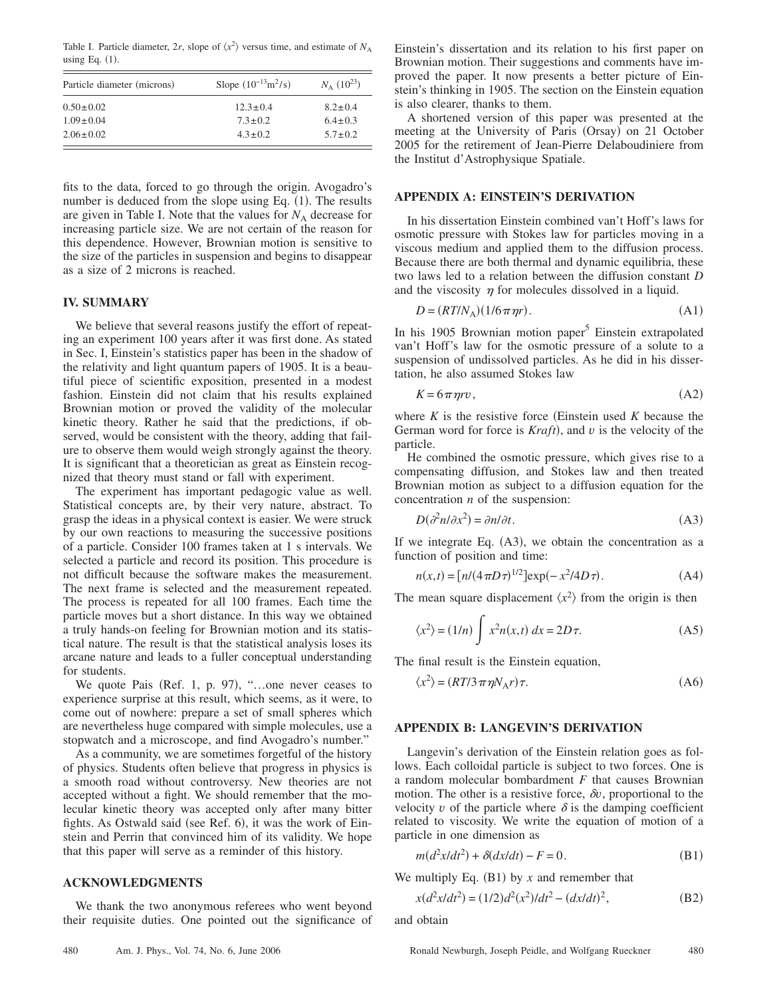Table I. Particle diameter, 2r, slope of  $\langle x^2 \rangle$  versus time, and estimate of  $N_A$ using Eq.  $(1)$ .

| Particle diameter (microns) | Slope $(10^{-13} \text{m}^2/\text{s})$ | $N_{\rm A}$ (10 <sup>23</sup> ) |
|-----------------------------|----------------------------------------|---------------------------------|
| $0.50 \pm 0.02$             | $12.3 \pm 0.4$                         | $8.2 \pm 0.4$                   |
| $1.09 \pm 0.04$             | $7.3 \pm 0.2$                          | $6.4 \pm 0.3$                   |
| $2.06 \pm 0.02$             | $4.3 \pm 0.2$                          | $5.7 \pm 0.2$                   |

fits to the data, forced to go through the origin. Avogadro's number is deduced from the slope using Eq. (1). The results are given in Table I. Note that the values for  $N_A$  decrease for increasing particle size. We are not certain of the reason for this dependence. However, Brownian motion is sensitive to the size of the particles in suspension and begins to disappear as a size of 2 microns is reached.

#### **IV. SUMMARY**

We believe that several reasons justify the effort of repeating an experiment 100 years after it was first done. As stated in Sec. I, Einstein's statistics paper has been in the shadow of the relativity and light quantum papers of 1905. It is a beautiful piece of scientific exposition, presented in a modest fashion. Einstein did not claim that his results explained Brownian motion or proved the validity of the molecular kinetic theory. Rather he said that the predictions, if observed, would be consistent with the theory, adding that failure to observe them would weigh strongly against the theory. It is significant that a theoretician as great as Einstein recognized that theory must stand or fall with experiment.

The experiment has important pedagogic value as well. Statistical concepts are, by their very nature, abstract. To grasp the ideas in a physical context is easier. We were struck by our own reactions to measuring the successive positions of a particle. Consider 100 frames taken at 1 s intervals. We selected a particle and record its position. This procedure is not difficult because the software makes the measurement. The next frame is selected and the measurement repeated. The process is repeated for all 100 frames. Each time the particle moves but a short distance. In this way we obtained a truly hands-on feeling for Brownian motion and its statistical nature. The result is that the statistical analysis loses its arcane nature and leads to a fuller conceptual understanding for students.

We quote Pais (Ref. 1, p. 97), "...one never ceases to experience surprise at this result, which seems, as it were, to come out of nowhere: prepare a set of small spheres which are nevertheless huge compared with simple molecules, use a stopwatch and a microscope, and find Avogadro's number."

As a community, we are sometimes forgetful of the history of physics. Students often believe that progress in physics is a smooth road without controversy. New theories are not accepted without a fight. We should remember that the molecular kinetic theory was accepted only after many bitter fights. As Ostwald said (see Ref. 6), it was the work of Einstein and Perrin that convinced him of its validity. We hope that this paper will serve as a reminder of this history.

#### **ACKNOWLEDGMENTS**

We thank the two anonymous referees who went beyond their requisite duties. One pointed out the significance of Einstein's dissertation and its relation to his first paper on Brownian motion. Their suggestions and comments have improved the paper. It now presents a better picture of Einstein's thinking in 1905. The section on the Einstein equation is also clearer, thanks to them.

A shortened version of this paper was presented at the meeting at the University of Paris (Orsay) on 21 October 2005 for the retirement of Jean-Pierre Delaboudiniere from the Institut d'Astrophysique Spatiale.

#### **APPENDIX A: EINSTEIN'S DERIVATION**

In his dissertation Einstein combined van't Hoff's laws for osmotic pressure with Stokes law for particles moving in a viscous medium and applied them to the diffusion process. Because there are both thermal and dynamic equilibria, these two laws led to a relation between the diffusion constant *D* and the viscosity  $\eta$  for molecules dissolved in a liquid.

$$
D = (RT/NA)(1/6\pi\eta r). \tag{A1}
$$

In his 1905 Brownian motion paper<sup>5</sup> Einstein extrapolated van't Hoff's law for the osmotic pressure of a solute to a suspension of undissolved particles. As he did in his dissertation, he also assumed Stokes law

$$
K = 6\pi\eta r v,\tag{A2}
$$

where  $K$  is the resistive force (Einstein used  $K$  because the German word for force is  $Kraft$ , and  $v$  is the velocity of the particle.

He combined the osmotic pressure, which gives rise to a compensating diffusion, and Stokes law and then treated Brownian motion as subject to a diffusion equation for the concentration *n* of the suspension:

$$
D(\partial^2 n/\partial x^2) = \partial n/\partial t. \tag{A3}
$$

If we integrate Eq.  $(A3)$ , we obtain the concentration as a function of position and time:

$$
n(x,t) = [n/(4\pi D\tau)^{1/2}] \exp(-x^2/4D\tau).
$$
 (A4)

The mean square displacement  $\langle x^2 \rangle$  from the origin is then

$$
\langle x^2 \rangle = (1/n) \int x^2 n(x, t) dx = 2D\tau.
$$
 (A5)

The final result is the Einstein equation,

$$
\langle x^2 \rangle = (RT/3 \pi \eta N_A r) \tau. \tag{A6}
$$

#### **APPENDIX B: LANGEVIN'S DERIVATION**

Langevin's derivation of the Einstein relation goes as follows. Each colloidal particle is subject to two forces. One is a random molecular bombardment *F* that causes Brownian motion. The other is a resistive force,  $\delta v$ , proportional to the velocity *v* of the particle where  $\delta$  is the damping coefficient related to viscosity. We write the equation of motion of a particle in one dimension as

$$
m(d^2x/dt^2) + \delta(dx/dt) - F = 0.
$$
 (B1)

We multiply Eq.  $(B1)$  by *x* and remember that

$$
x(d^2x/dt^2) = (1/2)d^2(x^2)/dt^2 - (dx/dt)^2,
$$
 (B2)

and obtain